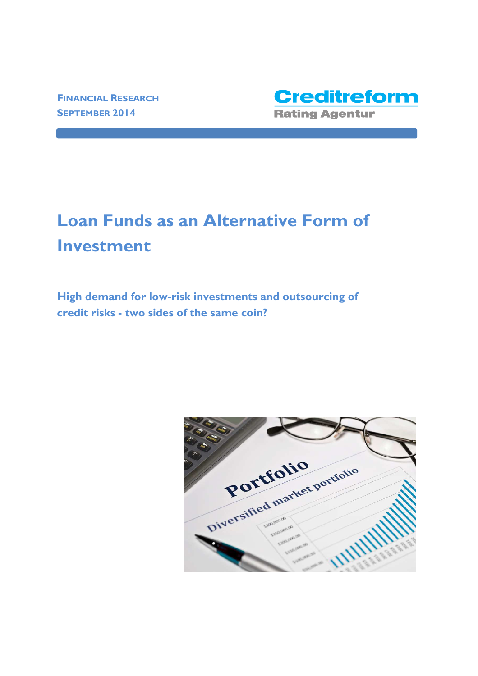

# **Loan Funds as an Alternative Form of Investment**

**High demand for low-risk investments and outsourcing of credit risks - two sides of the same coin?** 

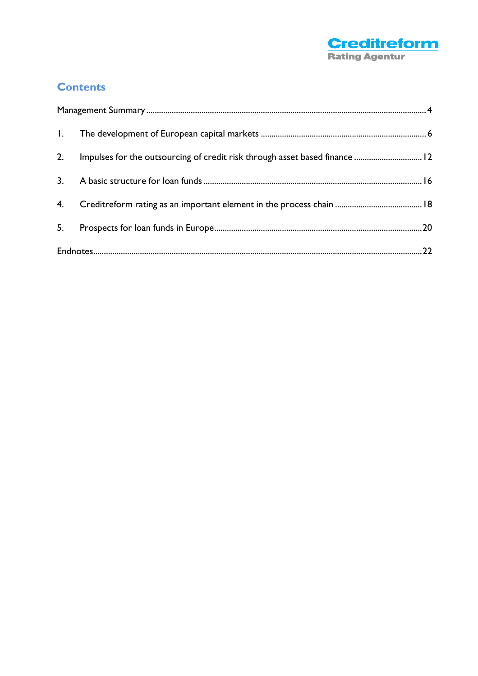

# **Contents**

| $\mathbf{L}$ |                                                                             |  |
|--------------|-----------------------------------------------------------------------------|--|
| 2.           | Impulses for the outsourcing of credit risk through asset based finance  12 |  |
| 3.           |                                                                             |  |
| 4.           |                                                                             |  |
| 5.           |                                                                             |  |
|              |                                                                             |  |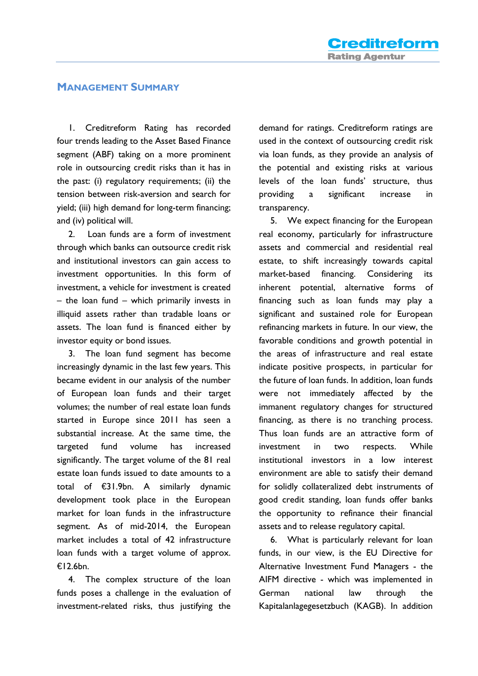#### **MANAGEMENT SUMMARY**

1. Creditreform Rating has recorded four trends leading to the Asset Based Finance segment (ABF) taking on a more prominent role in outsourcing credit risks than it has in the past: (i) regulatory requirements; (ii) the tension between risk-aversion and search for yield; (iii) high demand for long-term financing; and (iv) political will.

2. Loan funds are a form of investment through which banks can outsource credit risk and institutional investors can gain access to investment opportunities. In this form of investment, a vehicle for investment is created – the loan fund – which primarily invests in illiquid assets rather than tradable loans or assets. The loan fund is financed either by investor equity or bond issues.

3. The loan fund segment has become increasingly dynamic in the last few years. This became evident in our analysis of the number of European loan funds and their target volumes; the number of real estate loan funds started in Europe since 2011 has seen a substantial increase. At the same time, the targeted fund volume has increased significantly. The target volume of the 81 real estate loan funds issued to date amounts to a total of €31.9bn. A similarly dynamic development took place in the European market for loan funds in the infrastructure segment. As of mid-2014, the European market includes a total of 42 infrastructure loan funds with a target volume of approx. €12.6bn.

4. The complex structure of the loan funds poses a challenge in the evaluation of investment-related risks, thus justifying the

demand for ratings. Creditreform ratings are used in the context of outsourcing credit risk via loan funds, as they provide an analysis of the potential and existing risks at various levels of the loan funds' structure, thus providing a significant increase in transparency.

5. We expect financing for the European real economy, particularly for infrastructure assets and commercial and residential real estate, to shift increasingly towards capital market-based financing. Considering its inherent potential, alternative forms of financing such as loan funds may play a significant and sustained role for European refinancing markets in future. In our view, the favorable conditions and growth potential in the areas of infrastructure and real estate indicate positive prospects, in particular for the future of loan funds. In addition, loan funds were not immediately affected by the immanent regulatory changes for structured financing, as there is no tranching process. Thus loan funds are an attractive form of investment in two respects. While institutional investors in a low interest environment are able to satisfy their demand for solidly collateralized debt instruments of good credit standing, loan funds offer banks the opportunity to refinance their financial assets and to release regulatory capital.

6. What is particularly relevant for loan funds, in our view, is the EU Directive for Alternative Investment Fund Managers - the AIFM directive - which was implemented in German national law through the Kapitalanlagegesetzbuch (KAGB). In addition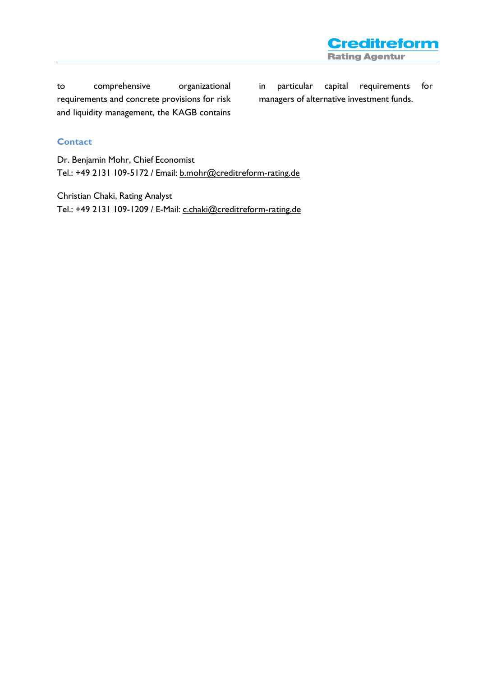to comprehensive organizational requirements and concrete provisions for risk and liquidity management, the KAGB contains

in particular capital requirements for managers of alternative investment funds.

**Creditreform** 

**Rating Agentur** 

#### **Contact**

Dr. Benjamin Mohr, Chief Economist Tel.: +49 2131 109-5172 / Email: b.mohr@creditreform-rating.de

Christian Chaki, Rating Analyst Tel.: +49 2131 109-1209 / E-Mail: c.chaki@creditreform-rating.de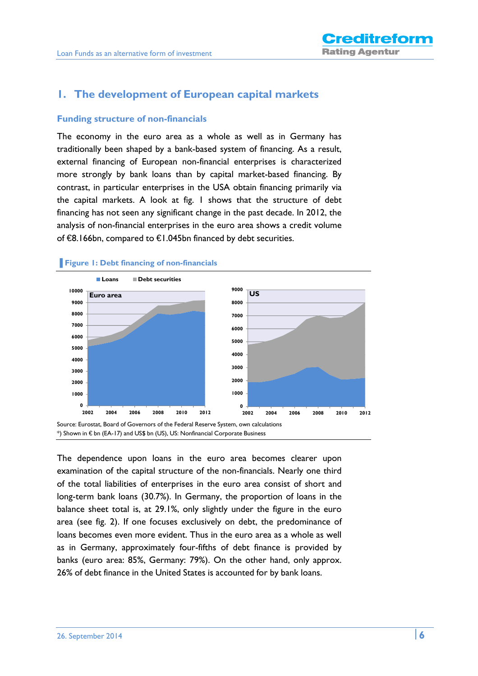## **1. The development of European capital markets**

#### **Funding structure of non-financials**

The economy in the euro area as a whole as well as in Germany has traditionally been shaped by a bank-based system of financing. As a result, external financing of European non-financial enterprises is characterized more strongly by bank loans than by capital market-based financing. By contrast, in particular enterprises in the USA obtain financing primarily via the capital markets. A look at fig. 1 shows that the structure of debt financing has not seen any significant change in the past decade. In 2012, the analysis of non-financial enterprises in the euro area shows a credit volume of €8.166bn, compared to €1.045bn financed by debt securities.



The dependence upon loans in the euro area becomes clearer upon examination of the capital structure of the non-financials. Nearly one third of the total liabilities of enterprises in the euro area consist of short and long-term bank loans (30.7%). In Germany, the proportion of loans in the balance sheet total is, at 29.1%, only slightly under the figure in the euro area (see fig. 2). If one focuses exclusively on debt, the predominance of loans becomes even more evident. Thus in the euro area as a whole as well as in Germany, approximately four-fifths of debt finance is provided by banks (euro area: 85%, Germany: 79%). On the other hand, only approx. 26% of debt finance in the United States is accounted for by bank loans.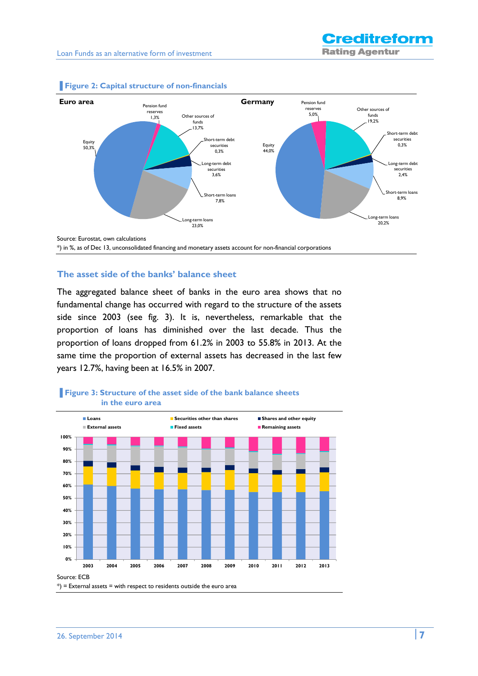

#### **▐ Figure 2: Capital structure of non-financials**

#### **The asset side of the banks' balance sheet**

The aggregated balance sheet of banks in the euro area shows that no fundamental change has occurred with regard to the structure of the assets side since 2003 (see fig. 3). It is, nevertheless, remarkable that the proportion of loans has diminished over the last decade. Thus the proportion of loans dropped from 61.2% in 2003 to 55.8% in 2013. At the same time the proportion of external assets has decreased in the last few years 12.7%, having been at 16.5% in 2007.



#### **Figure 3: Structure of the asset side of the bank balance sheets in the euro area**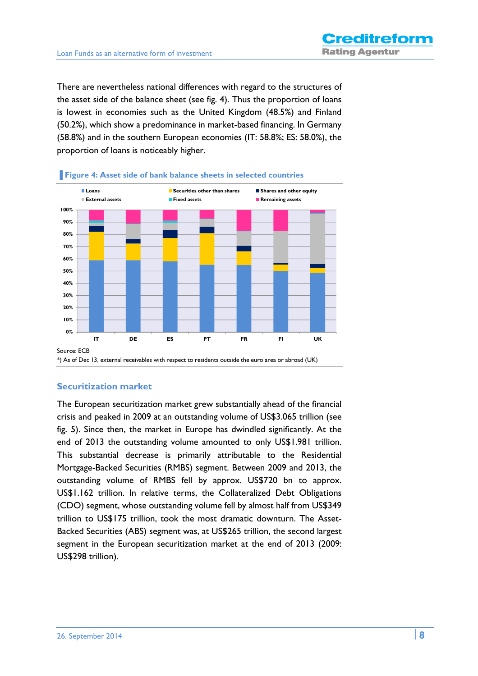There are nevertheless national differences with regard to the structures of the asset side of the balance sheet (see fig. 4). Thus the proportion of loans is lowest in economies such as the United Kingdom (48.5%) and Finland (50.2%), which show a predominance in market-based financing. In Germany (58.8%) and in the southern European economies (IT: 58.8%; ES: 58.0%), the proportion of loans is noticeably higher.



#### **Figure 4: Asset side of bank balance sheets in selected countries**

#### **Securitization market**

The European securitization market grew substantially ahead of the financial crisis and peaked in 2009 at an outstanding volume of US\$3.065 trillion (see fig. 5). Since then, the market in Europe has dwindled significantly. At the end of 2013 the outstanding volume amounted to only US\$1.981 trillion. This substantial decrease is primarily attributable to the Residential Mortgage-Backed Securities (RMBS) segment. Between 2009 and 2013, the outstanding volume of RMBS fell by approx. US\$720 bn to approx. US\$1.162 trillion. In relative terms, the Collateralized Debt Obligations (CDO) segment, whose outstanding volume fell by almost half from US\$349 trillion to US\$175 trillion, took the most dramatic downturn. The Asset-Backed Securities (ABS) segment was, at US\$265 trillion, the second largest segment in the European securitization market at the end of 2013 (2009: US\$298 trillion).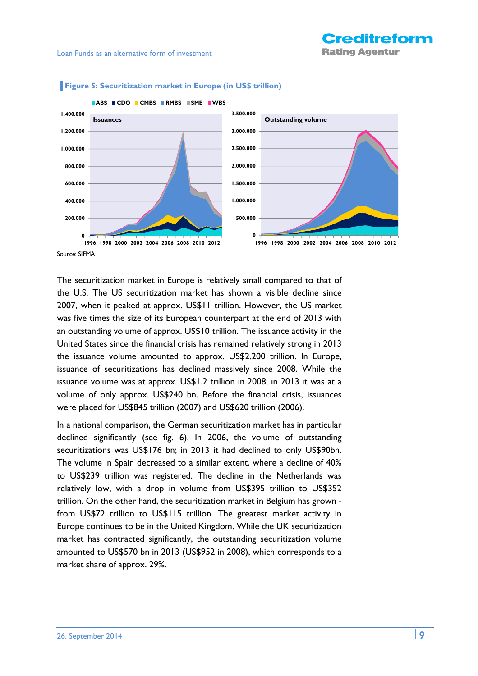

#### **Figure 5: Securitization market in Europe (in US\$ trillion)**

The securitization market in Europe is relatively small compared to that of the U.S. The US securitization market has shown a visible decline since 2007, when it peaked at approx. US\$11 trillion. However, the US market was five times the size of its European counterpart at the end of 2013 with an outstanding volume of approx. US\$10 trillion. The issuance activity in the United States since the financial crisis has remained relatively strong in 2013 the issuance volume amounted to approx. US\$2.200 trillion. In Europe, issuance of securitizations has declined massively since 2008. While the issuance volume was at approx. US\$1.2 trillion in 2008, in 2013 it was at a volume of only approx. US\$240 bn. Before the financial crisis, issuances were placed for US\$845 trillion (2007) and US\$620 trillion (2006).

In a national comparison, the German securitization market has in particular declined significantly (see fig. 6). In 2006, the volume of outstanding securitizations was US\$176 bn; in 2013 it had declined to only US\$90bn. The volume in Spain decreased to a similar extent, where a decline of 40% to US\$239 trillion was registered. The decline in the Netherlands was relatively low, with a drop in volume from US\$395 trillion to US\$352 trillion. On the other hand, the securitization market in Belgium has grown from US\$72 trillion to US\$115 trillion. The greatest market activity in Europe continues to be in the United Kingdom. While the UK securitization market has contracted significantly, the outstanding securitization volume amounted to US\$570 bn in 2013 (US\$952 in 2008), which corresponds to a market share of approx. 29%.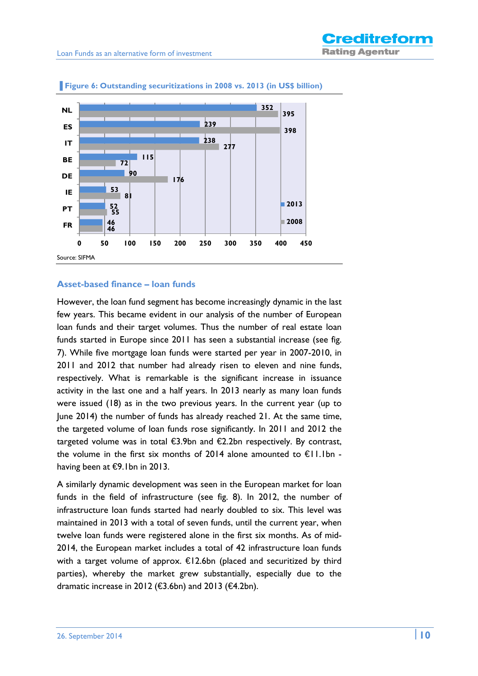

#### **Figure 6: Outstanding securitizations in 2008 vs. 2013 (in US\$ billion)**

#### **Asset-based finance – loan funds**

However, the loan fund segment has become increasingly dynamic in the last few years. This became evident in our analysis of the number of European loan funds and their target volumes. Thus the number of real estate loan funds started in Europe since 2011 has seen a substantial increase (see fig. 7). While five mortgage loan funds were started per year in 2007-2010, in 2011 and 2012 that number had already risen to eleven and nine funds, respectively. What is remarkable is the significant increase in issuance activity in the last one and a half years. In 2013 nearly as many loan funds were issued (18) as in the two previous years. In the current year (up to June 2014) the number of funds has already reached 21. At the same time, the targeted volume of loan funds rose significantly. In 2011 and 2012 the targeted volume was in total  $\bigoplus$ .9bn and  $\bigoplus$ .2bn respectively. By contrast, the volume in the first six months of 2014 alone amounted to  $\epsilon$ 1.1bn having been at €9.1bn in 2013.

A similarly dynamic development was seen in the European market for loan funds in the field of infrastructure (see fig. 8). In 2012, the number of infrastructure loan funds started had nearly doubled to six. This level was maintained in 2013 with a total of seven funds, until the current year, when twelve loan funds were registered alone in the first six months. As of mid-2014, the European market includes a total of 42 infrastructure loan funds with a target volume of approx. €12.6bn (placed and securitized by third parties), whereby the market grew substantially, especially due to the dramatic increase in 2012 (€3.6bn) and 2013 (€4.2bn).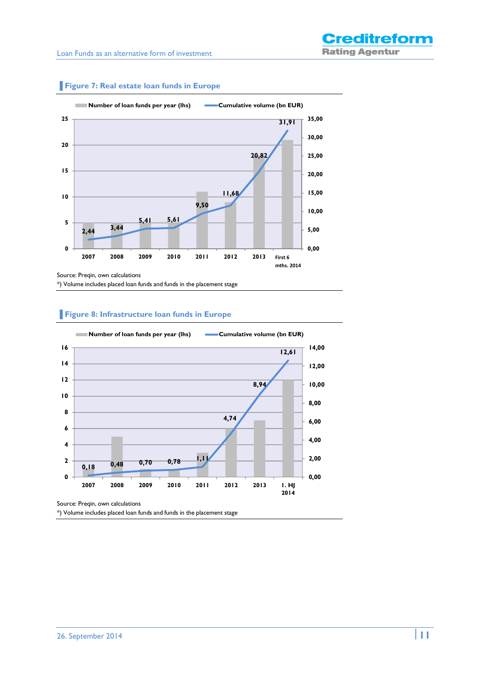

**Figure 7: Real estate loan funds in Europe** 

Source: Preqin, own calculations

\*) Volume includes placed loan funds and funds in the placement stage

#### **Figure 8: Infrastructure loan funds in Europe**



\*) Volume includes placed loan funds and funds in the placement stage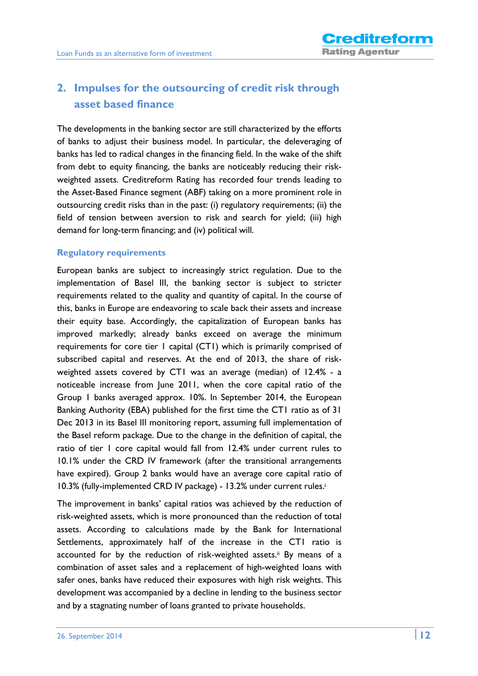# **2. Impulses for the outsourcing of credit risk through asset based finance**

The developments in the banking sector are still characterized by the efforts of banks to adjust their business model. In particular, the deleveraging of banks has led to radical changes in the financing field. In the wake of the shift from debt to equity financing, the banks are noticeably reducing their riskweighted assets. Creditreform Rating has recorded four trends leading to the Asset-Based Finance segment (ABF) taking on a more prominent role in outsourcing credit risks than in the past: (i) regulatory requirements; (ii) the field of tension between aversion to risk and search for yield; (iii) high demand for long-term financing; and (iv) political will.

#### **Regulatory requirements**

European banks are subject to increasingly strict regulation. Due to the implementation of Basel III, the banking sector is subject to stricter requirements related to the quality and quantity of capital. In the course of this, banks in Europe are endeavoring to scale back their assets and increase their equity base. Accordingly, the capitalization of European banks has improved markedly; already banks exceed on average the minimum requirements for core tier 1 capital (CT1) which is primarily comprised of subscribed capital and reserves. At the end of 2013, the share of riskweighted assets covered by CT1 was an average (median) of 12.4% - a noticeable increase from June 2011, when the core capital ratio of the Group 1 banks averaged approx. 10%. In September 2014, the European Banking Authority (EBA) published for the first time the CT1 ratio as of 31 Dec 2013 in its Basel III monitoring report, assuming full implementation of the Basel reform package. Due to the change in the definition of capital, the ratio of tier 1 core capital would fall from 12.4% under current rules to 10.1% under the CRD IV framework (after the transitional arrangements have expired). Group 2 banks would have an average core capital ratio of 10.3% (fully-implemented CRD IV package) - 13.2% under current rules.<sup>i</sup>

The improvement in banks' capital ratios was achieved by the reduction of risk-weighted assets, which is more pronounced than the reduction of total assets. According to calculations made by the Bank for International Settlements, approximately half of the increase in the CT1 ratio is accounted for by the reduction of risk-weighted assets.<sup>ii</sup> By means of a combination of asset sales and a replacement of high-weighted loans with safer ones, banks have reduced their exposures with high risk weights. This development was accompanied by a decline in lending to the business sector and by a stagnating number of loans granted to private households.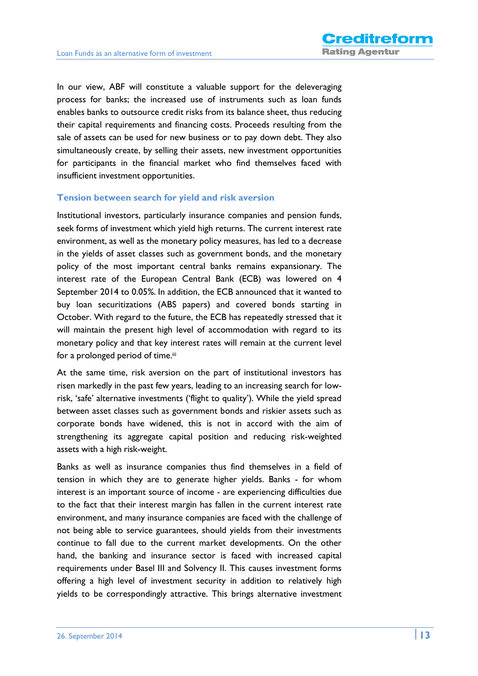In our view, ABF will constitute a valuable support for the deleveraging process for banks; the increased use of instruments such as loan funds enables banks to outsource credit risks from its balance sheet, thus reducing their capital requirements and financing costs. Proceeds resulting from the sale of assets can be used for new business or to pay down debt. They also simultaneously create, by selling their assets, new investment opportunities for participants in the financial market who find themselves faced with insufficient investment opportunities.

#### **Tension between search for yield and risk aversion**

Institutional investors, particularly insurance companies and pension funds, seek forms of investment which yield high returns. The current interest rate environment, as well as the monetary policy measures, has led to a decrease in the yields of asset classes such as government bonds, and the monetary policy of the most important central banks remains expansionary. The interest rate of the European Central Bank (ECB) was lowered on 4 September 2014 to 0.05%. In addition, the ECB announced that it wanted to buy loan securitizations (ABS papers) and covered bonds starting in October. With regard to the future, the ECB has repeatedly stressed that it will maintain the present high level of accommodation with regard to its monetary policy and that key interest rates will remain at the current level for a prolonged period of time.<sup>iii</sup>

At the same time, risk aversion on the part of institutional investors has risen markedly in the past few years, leading to an increasing search for lowrisk, 'safe' alternative investments ('flight to quality'). While the yield spread between asset classes such as government bonds and riskier assets such as corporate bonds have widened, this is not in accord with the aim of strengthening its aggregate capital position and reducing risk-weighted assets with a high risk-weight.

Banks as well as insurance companies thus find themselves in a field of tension in which they are to generate higher yields. Banks - for whom interest is an important source of income - are experiencing difficulties due to the fact that their interest margin has fallen in the current interest rate environment, and many insurance companies are faced with the challenge of not being able to service guarantees, should yields from their investments continue to fall due to the current market developments. On the other hand, the banking and insurance sector is faced with increased capital requirements under Basel III and Solvency II. This causes investment forms offering a high level of investment security in addition to relatively high yields to be correspondingly attractive. This brings alternative investment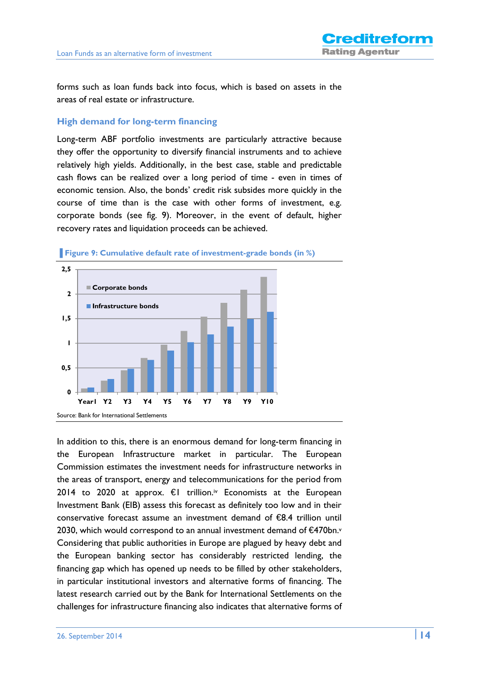forms such as loan funds back into focus, which is based on assets in the areas of real estate or infrastructure.

#### **High demand for long-term financing**

Long-term ABF portfolio investments are particularly attractive because they offer the opportunity to diversify financial instruments and to achieve relatively high yields. Additionally, in the best case, stable and predictable cash flows can be realized over a long period of time - even in times of economic tension. Also, the bonds' credit risk subsides more quickly in the course of time than is the case with other forms of investment, e.g. corporate bonds (see fig. 9). Moreover, in the event of default, higher recovery rates and liquidation proceeds can be achieved.





In addition to this, there is an enormous demand for long-term financing in the European Infrastructure market in particular. The European Commission estimates the investment needs for infrastructure networks in the areas of transport, energy and telecommunications for the period from 2014 to 2020 at approx.  $\epsilon$ I trillion.<sup>iv</sup> Economists at the European Investment Bank (EIB) assess this forecast as definitely too low and in their conservative forecast assume an investment demand of €8.4 trillion until 2030, which would correspond to an annual investment demand of €470bn.<sup>v</sup> Considering that public authorities in Europe are plagued by heavy debt and the European banking sector has considerably restricted lending, the financing gap which has opened up needs to be filled by other stakeholders, in particular institutional investors and alternative forms of financing. The latest research carried out by the Bank for International Settlements on the challenges for infrastructure financing also indicates that alternative forms of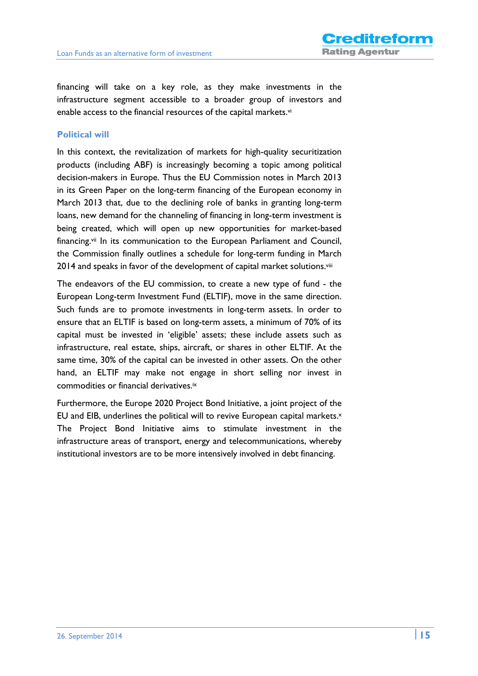financing will take on a key role, as they make investments in the infrastructure segment accessible to a broader group of investors and enable access to the financial resources of the capital markets.<sup>vi</sup>

#### **Political will**

In this context, the revitalization of markets for high-quality securitization products (including ABF) is increasingly becoming a topic among political decision-makers in Europe. Thus the EU Commission notes in March 2013 in its Green Paper on the long-term financing of the European economy in March 2013 that, due to the declining role of banks in granting long-term loans, new demand for the channeling of financing in long-term investment is being created, which will open up new opportunities for market-based financing.vii In its communication to the European Parliament and Council, the Commission finally outlines a schedule for long-term funding in March 2014 and speaks in favor of the development of capital market solutions.<sup>viii</sup>

The endeavors of the EU commission, to create a new type of fund - the European Long-term Investment Fund (ELTIF), move in the same direction. Such funds are to promote investments in long-term assets. In order to ensure that an ELTIF is based on long-term assets, a minimum of 70% of its capital must be invested in 'eligible' assets; these include assets such as infrastructure, real estate, ships, aircraft, or shares in other ELTIF. At the same time, 30% of the capital can be invested in other assets. On the other hand, an ELTIF may make not engage in short selling nor invest in commodities or financial derivatives.ix

Furthermore, the Europe 2020 Project Bond Initiative, a joint project of the EU and EIB, underlines the political will to revive European capital markets.x The Project Bond Initiative aims to stimulate investment in the infrastructure areas of transport, energy and telecommunications, whereby institutional investors are to be more intensively involved in debt financing.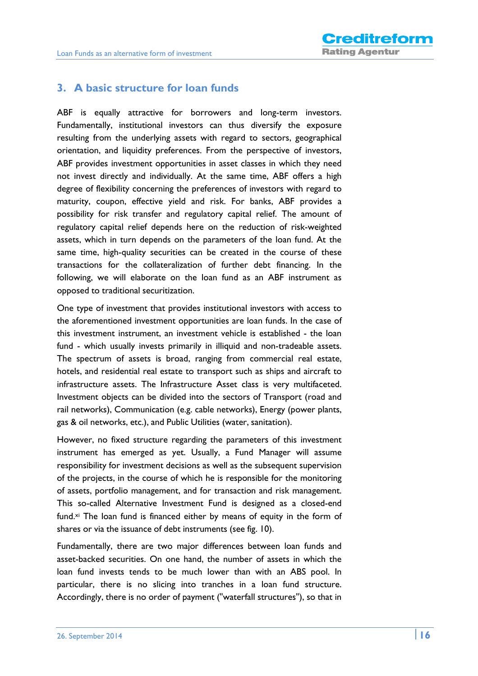## **3. A basic structure for loan funds**

ABF is equally attractive for borrowers and long-term investors. Fundamentally, institutional investors can thus diversify the exposure resulting from the underlying assets with regard to sectors, geographical orientation, and liquidity preferences. From the perspective of investors, ABF provides investment opportunities in asset classes in which they need not invest directly and individually. At the same time, ABF offers a high degree of flexibility concerning the preferences of investors with regard to maturity, coupon, effective yield and risk. For banks, ABF provides a possibility for risk transfer and regulatory capital relief. The amount of regulatory capital relief depends here on the reduction of risk-weighted assets, which in turn depends on the parameters of the loan fund. At the same time, high-quality securities can be created in the course of these transactions for the collateralization of further debt financing. In the following, we will elaborate on the loan fund as an ABF instrument as opposed to traditional securitization.

One type of investment that provides institutional investors with access to the aforementioned investment opportunities are loan funds. In the case of this investment instrument, an investment vehicle is established - the loan fund - which usually invests primarily in illiquid and non-tradeable assets. The spectrum of assets is broad, ranging from commercial real estate, hotels, and residential real estate to transport such as ships and aircraft to infrastructure assets. The Infrastructure Asset class is very multifaceted. Investment objects can be divided into the sectors of Transport (road and rail networks), Communication (e.g. cable networks), Energy (power plants, gas & oil networks, etc.), and Public Utilities (water, sanitation).

However, no fixed structure regarding the parameters of this investment instrument has emerged as yet. Usually, a Fund Manager will assume responsibility for investment decisions as well as the subsequent supervision of the projects, in the course of which he is responsible for the monitoring of assets, portfolio management, and for transaction and risk management. This so-called Alternative Investment Fund is designed as a closed-end fund.<sup>xi</sup> The loan fund is financed either by means of equity in the form of shares or via the issuance of debt instruments (see fig. 10).

Fundamentally, there are two major differences between loan funds and asset-backed securities. On one hand, the number of assets in which the loan fund invests tends to be much lower than with an ABS pool. In particular, there is no slicing into tranches in a loan fund structure. Accordingly, there is no order of payment ("waterfall structures"), so that in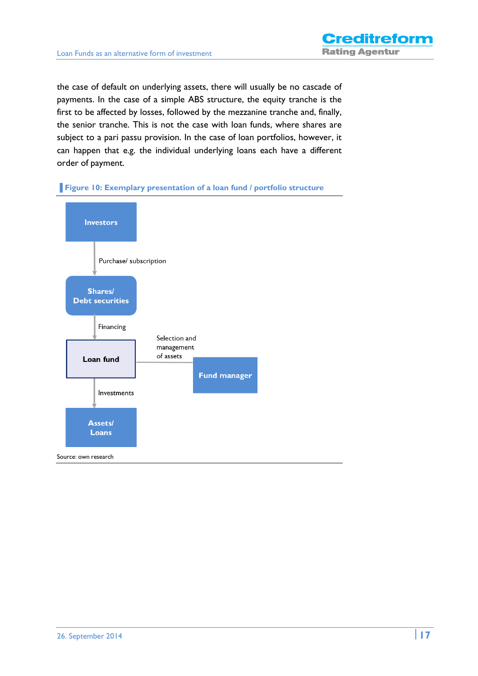the case of default on underlying assets, there will usually be no cascade of payments. In the case of a simple ABS structure, the equity tranche is the first to be affected by losses, followed by the mezzanine tranche and, finally, the senior tranche. This is not the case with loan funds, where shares are subject to a pari passu provision. In the case of loan portfolios, however, it can happen that e.g. the individual underlying loans each have a different order of payment.



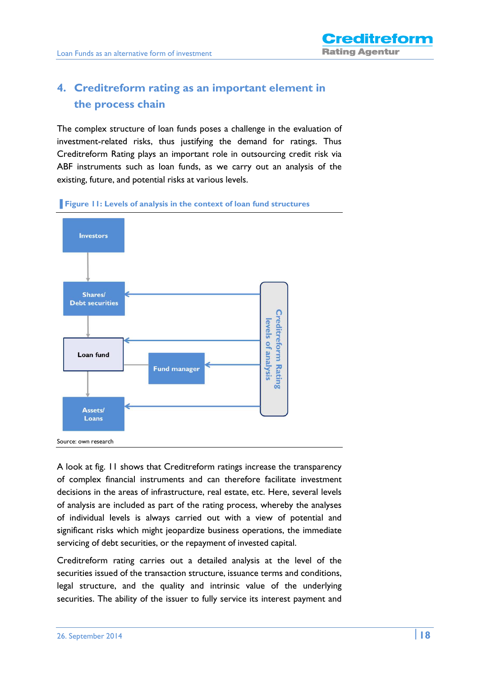## **4. Creditreform rating as an important element in the process chain**

The complex structure of loan funds poses a challenge in the evaluation of investment-related risks, thus justifying the demand for ratings. Thus Creditreform Rating plays an important role in outsourcing credit risk via ABF instruments such as loan funds, as we carry out an analysis of the existing, future, and potential risks at various levels.





A look at fig. 11 shows that Creditreform ratings increase the transparency of complex financial instruments and can therefore facilitate investment decisions in the areas of infrastructure, real estate, etc. Here, several levels of analysis are included as part of the rating process, whereby the analyses of individual levels is always carried out with a view of potential and significant risks which might jeopardize business operations, the immediate servicing of debt securities, or the repayment of invested capital.

Creditreform rating carries out a detailed analysis at the level of the securities issued of the transaction structure, issuance terms and conditions, legal structure, and the quality and intrinsic value of the underlying securities. The ability of the issuer to fully service its interest payment and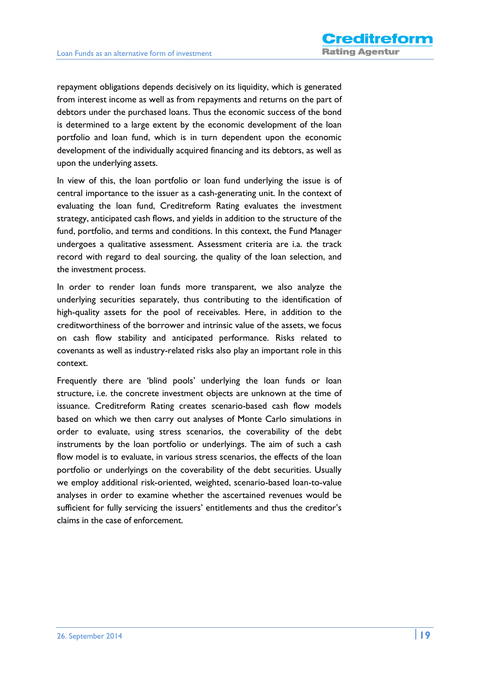repayment obligations depends decisively on its liquidity, which is generated from interest income as well as from repayments and returns on the part of debtors under the purchased loans. Thus the economic success of the bond is determined to a large extent by the economic development of the loan portfolio and loan fund, which is in turn dependent upon the economic development of the individually acquired financing and its debtors, as well as upon the underlying assets.

In view of this, the loan portfolio or loan fund underlying the issue is of central importance to the issuer as a cash-generating unit. In the context of evaluating the loan fund, Creditreform Rating evaluates the investment strategy, anticipated cash flows, and yields in addition to the structure of the fund, portfolio, and terms and conditions. In this context, the Fund Manager undergoes a qualitative assessment. Assessment criteria are i.a. the track record with regard to deal sourcing, the quality of the loan selection, and the investment process.

In order to render loan funds more transparent, we also analyze the underlying securities separately, thus contributing to the identification of high-quality assets for the pool of receivables. Here, in addition to the creditworthiness of the borrower and intrinsic value of the assets, we focus on cash flow stability and anticipated performance. Risks related to covenants as well as industry-related risks also play an important role in this context.

Frequently there are 'blind pools' underlying the loan funds or loan structure, i.e. the concrete investment objects are unknown at the time of issuance. Creditreform Rating creates scenario-based cash flow models based on which we then carry out analyses of Monte Carlo simulations in order to evaluate, using stress scenarios, the coverability of the debt instruments by the loan portfolio or underlyings. The aim of such a cash flow model is to evaluate, in various stress scenarios, the effects of the loan portfolio or underlyings on the coverability of the debt securities. Usually we employ additional risk-oriented, weighted, scenario-based loan-to-value analyses in order to examine whether the ascertained revenues would be sufficient for fully servicing the issuers' entitlements and thus the creditor's claims in the case of enforcement.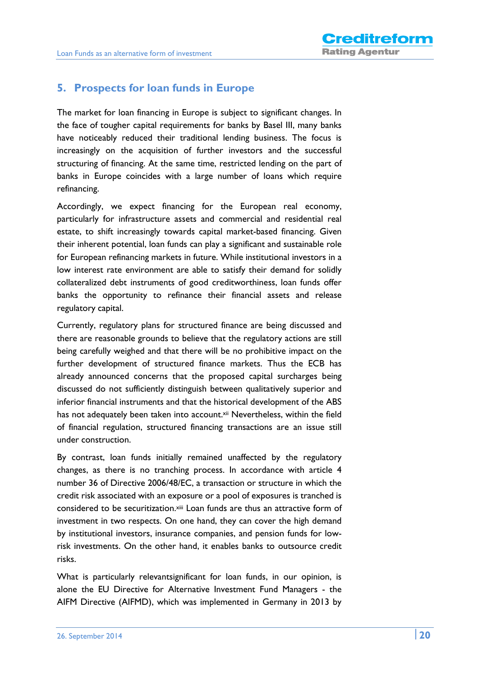## **5. Prospects for loan funds in Europe**

The market for loan financing in Europe is subject to significant changes. In the face of tougher capital requirements for banks by Basel III, many banks have noticeably reduced their traditional lending business. The focus is increasingly on the acquisition of further investors and the successful structuring of financing. At the same time, restricted lending on the part of banks in Europe coincides with a large number of loans which require refinancing.

Accordingly, we expect financing for the European real economy, particularly for infrastructure assets and commercial and residential real estate, to shift increasingly towards capital market-based financing. Given their inherent potential, loan funds can play a significant and sustainable role for European refinancing markets in future. While institutional investors in a low interest rate environment are able to satisfy their demand for solidly collateralized debt instruments of good creditworthiness, loan funds offer banks the opportunity to refinance their financial assets and release regulatory capital.

Currently, regulatory plans for structured finance are being discussed and there are reasonable grounds to believe that the regulatory actions are still being carefully weighed and that there will be no prohibitive impact on the further development of structured finance markets. Thus the ECB has already announced concerns that the proposed capital surcharges being discussed do not sufficiently distinguish between qualitatively superior and inferior financial instruments and that the historical development of the ABS has not adequately been taken into account.<sup>xii</sup> Nevertheless, within the field of financial regulation, structured financing transactions are an issue still under construction.

By contrast, loan funds initially remained unaffected by the regulatory changes, as there is no tranching process. In accordance with article 4 number 36 of Directive 2006/48/EC, a transaction or structure in which the credit risk associated with an exposure or a pool of exposures is tranched is considered to be securitization.xiii Loan funds are thus an attractive form of investment in two respects. On one hand, they can cover the high demand by institutional investors, insurance companies, and pension funds for lowrisk investments. On the other hand, it enables banks to outsource credit risks.

What is particularly relevantsignificant for loan funds, in our opinion, is alone the EU Directive for Alternative Investment Fund Managers - the AIFM Directive (AIFMD), which was implemented in Germany in 2013 by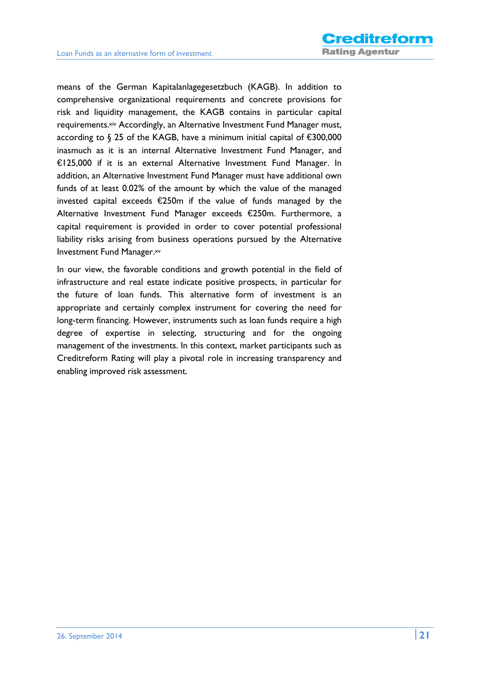means of the German Kapitalanlagegesetzbuch (KAGB). In addition to comprehensive organizational requirements and concrete provisions for risk and liquidity management, the KAGB contains in particular capital requirements.xiv Accordingly, an Alternative Investment Fund Manager must, according to § 25 of the KAGB, have a minimum initial capital of €300,000 inasmuch as it is an internal Alternative Investment Fund Manager, and €125,000 if it is an external Alternative Investment Fund Manager. In addition, an Alternative Investment Fund Manager must have additional own funds of at least 0.02% of the amount by which the value of the managed invested capital exceeds €250m if the value of funds managed by the Alternative Investment Fund Manager exceeds €250m. Furthermore, a capital requirement is provided in order to cover potential professional liability risks arising from business operations pursued by the Alternative Investment Fund Manager.xv

In our view, the favorable conditions and growth potential in the field of infrastructure and real estate indicate positive prospects, in particular for the future of loan funds. This alternative form of investment is an appropriate and certainly complex instrument for covering the need for long-term financing. However, instruments such as loan funds require a high degree of expertise in selecting, structuring and for the ongoing management of the investments. In this context, market participants such as Creditreform Rating will play a pivotal role in increasing transparency and enabling improved risk assessment.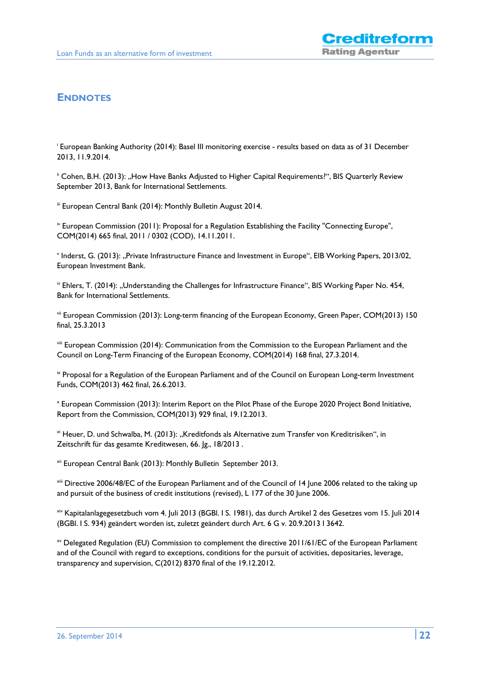## **ENDNOTES**

i European Banking Authority (2014): Basel III monitoring exercise - results based on data as of 31 December 2013, 11.9.2014.

<sup>ii</sup> Cohen, B.H. (2013): "How Have Banks Adjusted to Higher Capital Requirements?", BIS Quarterly Review September 2013, Bank for International Settlements.

iii European Central Bank (2014): Monthly Bulletin August 2014.

 $\frac{1}{2}$ <sup>iv</sup> European Commission (2011): Proposal for a Regulation Establishing the Facility "Connecting Europe", COM(2014) 665 final, 2011 / 0302 (COD), 14.11.2011.

<sup>v</sup> Inderst, G. (2013): "Private Infrastructure Finance and Investment in Europe", EIB Working Papers, 2013/02, European Investment Bank.

vi Ehlers, T. (2014): "Understanding the Challenges for Infrastructure Finance", BIS Working Paper No. 454, Bank for International Settlements.

vii European Commission (2013): Long-term financing of the European Economy, Green Paper, COM(2013) 150 final, 25.3.2013

viii European Commission (2014): Communication from the Commission to the European Parliament and the Council on Long-Term Financing of the European Economy, COM(2014) 168 final, 27.3.2014.

<sup>ix</sup> Proposal for a Regulation of the European Parliament and of the Council on European Long-term Investment Funds, COM(2013) 462 final, 26.6.2013.

x European Commission (2013): Interim Report on the Pilot Phase of the Europe 2020 Project Bond Initiative, Report from the Commission, COM(2013) 929 final, 19.12.2013.

<sup>xi</sup> Heuer, D. und Schwalba, M. (2013): "Kreditfonds als Alternative zum Transfer von Kreditrisiken", in Zeitschrift für das gesamte Kreditwesen, 66. Jg., 18/2013.

xii European Central Bank (2013): Monthly Bulletin September 2013.

xiii Directive 2006/48/EC of the European Parliament and of the Council of 14 June 2006 related to the taking up and pursuit of the business of credit institutions (revised), L 177 of the 30 June 2006.

xiv Kapitalanlagegesetzbuch vom 4. Juli 2013 (BGBl. I S. 1981), das durch Artikel 2 des Gesetzes vom 15. Juli 2014 (BGBl. I S. 934) geändert worden ist, zuletzt geändert durch Art. 6 G v. 20.9.2013 I 3642.

xv Delegated Regulation (EU) Commission to complement the directive 2011/61/EC of the European Parliament and of the Council with regard to exceptions, conditions for the pursuit of activities, depositaries, leverage, transparency and supervision, C(2012) 8370 final of the 19.12.2012.